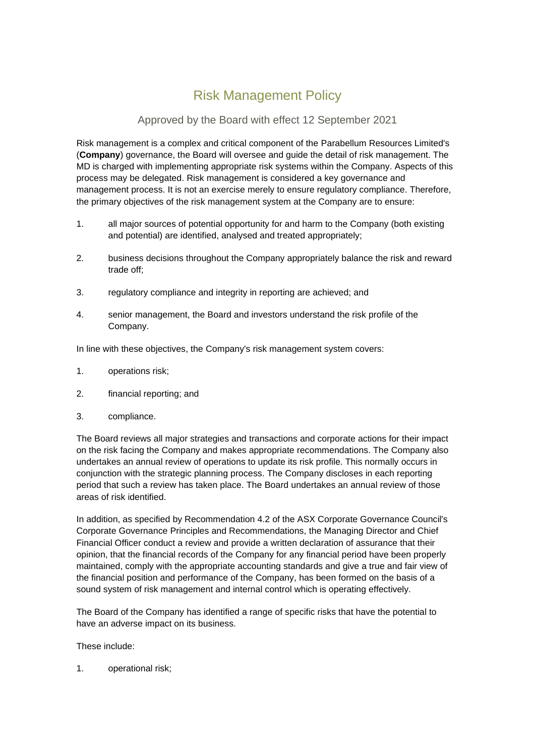## Risk Management Policy

## Approved by the Board with effect 12 September 2021

Risk management is a complex and critical component of the Parabellum Resources Limited's (**Company**) governance, the Board will oversee and guide the detail of risk management. The MD is charged with implementing appropriate risk systems within the Company. Aspects of this process may be delegated. Risk management is considered a key governance and management process. It is not an exercise merely to ensure regulatory compliance. Therefore, the primary objectives of the risk management system at the Company are to ensure:

- 1. all major sources of potential opportunity for and harm to the Company (both existing and potential) are identified, analysed and treated appropriately;
- 2. business decisions throughout the Company appropriately balance the risk and reward trade off;
- 3. regulatory compliance and integrity in reporting are achieved; and
- 4. senior management, the Board and investors understand the risk profile of the Company.

In line with these objectives, the Company's risk management system covers:

- 1. operations risk;
- 2. financial reporting; and
- 3. compliance.

The Board reviews all major strategies and transactions and corporate actions for their impact on the risk facing the Company and makes appropriate recommendations. The Company also undertakes an annual review of operations to update its risk profile. This normally occurs in conjunction with the strategic planning process. The Company discloses in each reporting period that such a review has taken place. The Board undertakes an annual review of those areas of risk identified.

In addition, as specified by Recommendation 4.2 of the ASX Corporate Governance Council's Corporate Governance Principles and Recommendations, the Managing Director and Chief Financial Officer conduct a review and provide a written declaration of assurance that their opinion, that the financial records of the Company for any financial period have been properly maintained, comply with the appropriate accounting standards and give a true and fair view of the financial position and performance of the Company, has been formed on the basis of a sound system of risk management and internal control which is operating effectively.

The Board of the Company has identified a range of specific risks that have the potential to have an adverse impact on its business.

## These include:

1. operational risk;